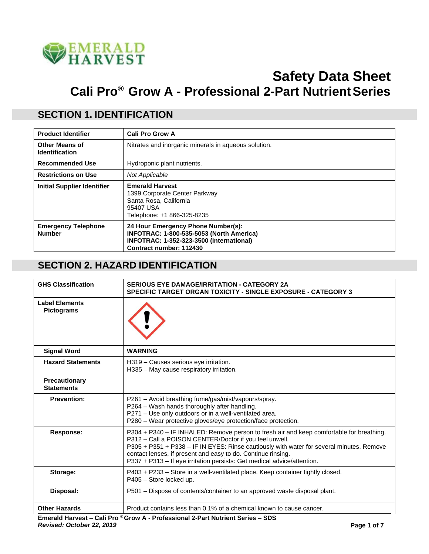

# **Safety Data Sheet Cali Pro® Grow A - Professional 2-Part NutrientSeries**

#### **SECTION 1. IDENTIFICATION**

| <b>Product Identifier</b>                      | <b>Cali Pro Grow A</b>                                                                                                                                |
|------------------------------------------------|-------------------------------------------------------------------------------------------------------------------------------------------------------|
| <b>Other Means of</b><br><b>Identification</b> | Nitrates and inorganic minerals in aqueous solution.                                                                                                  |
| <b>Recommended Use</b>                         | Hydroponic plant nutrients.                                                                                                                           |
| <b>Restrictions on Use</b>                     | Not Applicable                                                                                                                                        |
| <b>Initial Supplier Identifier</b>             | <b>Emerald Harvest</b><br>1399 Corporate Center Parkway<br>Santa Rosa, California<br>95407 USA<br>Telephone: +1 866-325-8235                          |
| <b>Emergency Telephone</b><br><b>Number</b>    | 24 Hour Emergency Phone Number(s):<br>INFOTRAC: 1-800-535-5053 (North America)<br>INFOTRAC: 1-352-323-3500 (International)<br>Contract number: 112430 |

#### **SECTION 2. HAZARD IDENTIFICATION**

| <b>GHS Classification</b>                  | <b>SERIOUS EYE DAMAGE/IRRITATION - CATEGORY 2A</b><br><b>SPECIFIC TARGET ORGAN TOXICITY - SINGLE EXPOSURE - CATEGORY 3</b>                                                                                                                                                                                                                                                                |
|--------------------------------------------|-------------------------------------------------------------------------------------------------------------------------------------------------------------------------------------------------------------------------------------------------------------------------------------------------------------------------------------------------------------------------------------------|
| <b>Label Elements</b><br><b>Pictograms</b> |                                                                                                                                                                                                                                                                                                                                                                                           |
| <b>Signal Word</b>                         | <b>WARNING</b>                                                                                                                                                                                                                                                                                                                                                                            |
| <b>Hazard Statements</b>                   | H319 - Causes serious eye irritation.<br>H335 - May cause respiratory irritation.                                                                                                                                                                                                                                                                                                         |
| Precautionary<br><b>Statements</b>         |                                                                                                                                                                                                                                                                                                                                                                                           |
| <b>Prevention:</b>                         | P261 - Avoid breathing fume/gas/mist/vapours/spray.<br>P264 - Wash hands thoroughly after handling.<br>P271 - Use only outdoors or in a well-ventilated area.<br>P280 - Wear protective gloves/eye protection/face protection.                                                                                                                                                            |
| <b>Response:</b>                           | P304 + P340 - IF INHALED: Remove person to fresh air and keep comfortable for breathing.<br>P312 - Call a POISON CENTER/Doctor if you feel unwell.<br>P305 + P351 + P338 - IF IN EYES: Rinse cautiously with water for several minutes. Remove<br>contact lenses, if present and easy to do. Continue rinsing.<br>P337 + P313 - If eye irritation persists: Get medical advice/attention. |
| Storage:                                   | P403 + P233 – Store in a well-ventilated place. Keep container tightly closed.<br>P405 - Store locked up.                                                                                                                                                                                                                                                                                 |
| Disposal:                                  | P501 - Dispose of contents/container to an approved waste disposal plant.                                                                                                                                                                                                                                                                                                                 |
| <b>Other Hazards</b>                       | Product contains less than 0.1% of a chemical known to cause cancer.                                                                                                                                                                                                                                                                                                                      |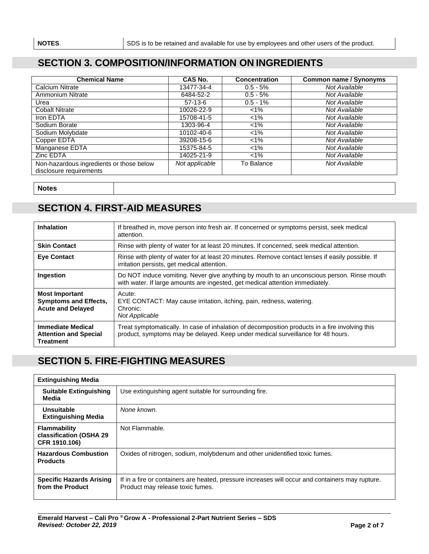#### **SECTION 3. COMPOSITION/INFORMATION ON INGREDIENTS**

| <b>Chemical Name</b>                                                | CAS No.        | <b>Concentration</b> | <b>Common name / Synonyms</b> |
|---------------------------------------------------------------------|----------------|----------------------|-------------------------------|
| Calcium Nitrate                                                     | 13477-34-4     | $0.5 - 5%$           | Not Available                 |
| Ammonium Nitrate                                                    | 6484-52-2      | $0.5 - 5%$           | Not Available                 |
| Urea                                                                | $57-13-6$      | $0.5 - 1%$           | Not Available                 |
| <b>Cobalt Nitrate</b>                                               | 10026-22-9     | $1\%$                | Not Available                 |
| Iron EDTA                                                           | 15708-41-5     | $1\%$                | Not Available                 |
| Sodium Borate                                                       | 1303-96-4      | $<1\%$               | Not Available                 |
| Sodium Molybdate                                                    | 10102-40-6     | $1\%$                | Not Available                 |
| Copper EDTA                                                         | 39208-15-6     | $1\%$                | Not Available                 |
| Manganese EDTA                                                      | 15375-84-5     | $1\%$                | Not Available                 |
| Zinc EDTA                                                           | 14025-21-9     | $< 1\%$              | Not Available                 |
| Non-hazardous ingredients or those below<br>disclosure requirements | Not applicable | To Balance           | Not Available                 |

**Notes**

#### **SECTION 4. FIRST-AID MEASURES**

| <b>Inhalation</b>                                                                 | If breathed in, move person into fresh air. If concerned or symptoms persist, seek medical<br>attention.                                                                           |
|-----------------------------------------------------------------------------------|------------------------------------------------------------------------------------------------------------------------------------------------------------------------------------|
| <b>Skin Contact</b>                                                               | Rinse with plenty of water for at least 20 minutes. If concerned, seek medical attention.                                                                                          |
| <b>Eye Contact</b>                                                                | Rinse with plenty of water for at least 20 minutes. Remove contact lenses if easily possible. If<br>irritation persists, get medical attention.                                    |
| <b>Ingestion</b>                                                                  | Do NOT induce vomiting. Never give anything by mouth to an unconscious person. Rinse mouth<br>with water. If large amounts are ingested, get medical attention immediately.        |
| <b>Most Important</b><br><b>Symptoms and Effects,</b><br><b>Acute and Delayed</b> | Acute:<br>EYE CONTACT: May cause irritation, itching, pain, redness, watering.<br>Chronic:<br>Not Applicable                                                                       |
| <b>Immediate Medical</b><br><b>Attention and Special</b><br><b>Treatment</b>      | Treat symptomatically. In case of inhalation of decomposition products in a fire involving this<br>product, symptoms may be delayed. Keep under medical surveillance for 48 hours. |

### **SECTION 5. FIRE-FIGHTING MEASURES**

| <b>Extinguishing Media</b>                                      |                                                                                                                                      |
|-----------------------------------------------------------------|--------------------------------------------------------------------------------------------------------------------------------------|
| <b>Suitable Extinguishing</b><br>Media                          | Use extinguishing agent suitable for surrounding fire.                                                                               |
| Unsuitable<br><b>Extinguishing Media</b>                        | None known.                                                                                                                          |
| <b>Flammability</b><br>classification (OSHA 29<br>CFR 1910.106) | Not Flammable.                                                                                                                       |
| <b>Hazardous Combustion</b><br><b>Products</b>                  | Oxides of nitrogen, sodium, molybdenum and other unidentified toxic fumes.                                                           |
| <b>Specific Hazards Arising</b><br>from the Product             | If in a fire or containers are heated, pressure increases will occur and containers may rupture.<br>Product may release toxic fumes. |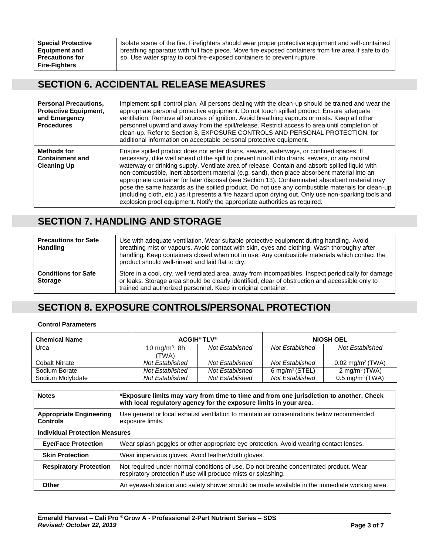**Special Protective** Isolate scene of the fire. Firefighters should wear proper protective equipment and self-contained breathing apparatus with full face piece. Move fire exposed containers from fire area if safe to do **Equipment and** breathing apparatus with full face piece. Move fire exposed containers from fire area if safe to do<br>**Precautions for** so. Use water spray to cool fire-exposed containers to prevent rupture. so. Use water spray to cool fire-exposed containers to prevent rupture.

#### **SECTION 6. ACCIDENTAL RELEASE MEASURES**

| <b>Personal Precautions.</b><br><b>Protective Equipment,</b><br>and Emergency<br><b>Procedures</b> | Implement spill control plan. All persons dealing with the clean-up should be trained and wear the<br>appropriate personal protective equipment. Do not touch spilled product. Ensure adequate<br>ventilation. Remove all sources of ignition. Avoid breathing vapours or mists. Keep all other<br>personnel upwind and away from the spill/release. Restrict access to area until completion of<br>clean-up. Refer to Section 8, EXPOSURE CONTROLS AND PERSONAL PROTECTION, for<br>additional information on acceptable personal protective equipment.                                                                                                                                                                                                                                |
|----------------------------------------------------------------------------------------------------|----------------------------------------------------------------------------------------------------------------------------------------------------------------------------------------------------------------------------------------------------------------------------------------------------------------------------------------------------------------------------------------------------------------------------------------------------------------------------------------------------------------------------------------------------------------------------------------------------------------------------------------------------------------------------------------------------------------------------------------------------------------------------------------|
| <b>Methods for</b><br><b>Containment and</b><br><b>Cleaning Up</b>                                 | Ensure spilled product does not enter drains, sewers, waterways, or confined spaces. If<br>necessary, dike well ahead of the spill to prevent runoff into drains, sewers, or any natural<br>waterway or drinking supply. Ventilate area of release. Contain and absorb spilled liquid with<br>non-combustible, inert absorbent material (e.g. sand), then place absorbent material into an<br>appropriate container for later disposal (see Section 13). Contaminated absorbent material may<br>pose the same hazards as the spilled product. Do not use any combustible materials for clean-up<br>(including cloth, etc.) as it presents a fire hazard upon drying out. Only use non-sparking tools and<br>explosion proof equipment. Notify the appropriate authorities as required. |

#### **SECTION 7. HANDLING AND STORAGE**

| <b>Precautions for Safe</b><br><b>Handling</b> | Use with adequate ventilation. Wear suitable protective equipment during handling. Avoid<br>breathing mist or vapours. Avoid contact with skin, eyes and clothing. Wash thoroughly after<br>handling. Keep containers closed when not in use. Any combustible materials which contact the<br>product should well-rinsed and laid flat to dry. |
|------------------------------------------------|-----------------------------------------------------------------------------------------------------------------------------------------------------------------------------------------------------------------------------------------------------------------------------------------------------------------------------------------------|
| <b>Conditions for Safe</b><br><b>Storage</b>   | Store in a cool, dry, well ventilated area, away from incompatibles. Inspect periodically for damage<br>or leaks. Storage area should be clearly identified, clear of obstruction and accessible only to<br>trained and authorized personnel. Keep in original container.                                                                     |

#### **SECTION 8. EXPOSURE CONTROLS/PERSONAL PROTECTION**

#### **Control Parameters**

| <b>Chemical Name</b> | <b>ACGIH®TLV®</b>         |                 |                           | <b>NIOSH OEL</b>            |
|----------------------|---------------------------|-----------------|---------------------------|-----------------------------|
| Urea                 | 10 mg/m <sup>3</sup> , 8h | Not Established | Not Established           | Not Established             |
|                      | (TWA)                     |                 |                           |                             |
| Cobalt Nitrate       | Not Established           | Not Established | Not Established           | $0.02 \text{ mg/m}^3$ (TWA) |
| Sodium Borate        | Not Established           | Not Established | $6 \text{ mg/m}^3$ (STEL) | 2 mg/m <sup>3</sup> (TWA)   |
| Sodium Molybdate     | Not Established           | Not Established | Not Established           | $0.5 \text{ mg/m}^3$ (TWA)  |

| <b>Notes</b>                                      | *Exposure limits may vary from time to time and from one jurisdiction to another. Check<br>with local regulatory agency for the exposure limits in your area. |  |
|---------------------------------------------------|---------------------------------------------------------------------------------------------------------------------------------------------------------------|--|
| <b>Appropriate Engineering</b><br><b>Controls</b> | Use general or local exhaust ventilation to maintain air concentrations below recommended<br>exposure limits.                                                 |  |
| <b>Individual Protection Measures</b>             |                                                                                                                                                               |  |
| <b>Eye/Face Protection</b>                        | Wear splash goggles or other appropriate eye protection. Avoid wearing contact lenses.                                                                        |  |
| <b>Skin Protection</b>                            | Wear impervious gloves. Avoid leather/cloth gloves.                                                                                                           |  |
| <b>Respiratory Protection</b>                     | Not required under normal conditions of use. Do not breathe concentrated product. Wear<br>respiratory protection if use will produce mists or splashing.      |  |
| Other                                             | An eyewash station and safety shower should be made available in the immediate working area.                                                                  |  |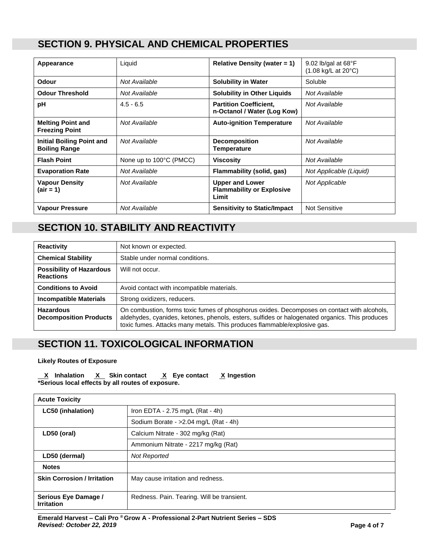#### **SECTION 9. PHYSICAL AND CHEMICAL PROPERTIES**

| Appearance                                               | Liquid                  | Relative Density (water $= 1$ )                                     | 9.02 lb/gal at $68^{\circ}$ F<br>(1.08 kg/L at 20°C) |
|----------------------------------------------------------|-------------------------|---------------------------------------------------------------------|------------------------------------------------------|
| <b>Odour</b>                                             | Not Available           | <b>Solubility in Water</b>                                          | Soluble                                              |
| <b>Odour Threshold</b>                                   | Not Available           | <b>Solubility in Other Liquids</b>                                  | Not Available                                        |
| рH                                                       | $4.5 - 6.5$             | <b>Partition Coefficient,</b><br>n-Octanol / Water (Log Kow)        | Not Available                                        |
| <b>Melting Point and</b><br><b>Freezing Point</b>        | Not Available           | <b>Auto-ignition Temperature</b>                                    | Not Available                                        |
| <b>Initial Boiling Point and</b><br><b>Boiling Range</b> | Not Available           | <b>Decomposition</b><br><b>Temperature</b>                          | Not Available                                        |
| <b>Flash Point</b>                                       | None up to 100°C (PMCC) | <b>Viscosity</b>                                                    | Not Available                                        |
| <b>Evaporation Rate</b>                                  | Not Available           | Flammability (solid, gas)                                           | Not Applicable (Liquid)                              |
| <b>Vapour Density</b><br>(air = 1)                       | Not Available           | <b>Upper and Lower</b><br><b>Flammability or Explosive</b><br>Limit | <b>Not Applicable</b>                                |
| <b>Vapour Pressure</b>                                   | Not Available           | <b>Sensitivity to Static/Impact</b>                                 | <b>Not Sensitive</b>                                 |

# **SECTION 10. STABILITY AND REACTIVITY**

| <b>Reactivity</b>                                   | Not known or expected.                                                                                                                                                                                                                                                    |
|-----------------------------------------------------|---------------------------------------------------------------------------------------------------------------------------------------------------------------------------------------------------------------------------------------------------------------------------|
| <b>Chemical Stability</b>                           | Stable under normal conditions.                                                                                                                                                                                                                                           |
| <b>Possibility of Hazardous</b><br><b>Reactions</b> | Will not occur.                                                                                                                                                                                                                                                           |
| <b>Conditions to Avoid</b>                          | Avoid contact with incompatible materials.                                                                                                                                                                                                                                |
| <b>Incompatible Materials</b>                       | Strong oxidizers, reducers.                                                                                                                                                                                                                                               |
| <b>Hazardous</b><br><b>Decomposition Products</b>   | On combustion, forms toxic fumes of phosphorus oxides. Decomposes on contact with alcohols,<br>aldehydes, cyanides, ketones, phenols, esters, sulfides or halogenated organics. This produces<br>toxic fumes. Attacks many metals. This produces flammable/explosive gas. |

#### **SECTION 11. TOXICOLOGICAL INFORMATION**

#### **Likely Routes of Exposure**

 **X Inhalation X Skin contact X Eye contact X Ingestion \*Serious local effects by all routes of exposure.**

| <b>Acute Toxicity</b>                     |                                            |
|-------------------------------------------|--------------------------------------------|
| <b>LC50 (inhalation)</b>                  | Iron EDTA - $2.75$ mg/L (Rat - 4h)         |
|                                           | Sodium Borate - > 2.04 mg/L (Rat - 4h)     |
| LD50 (oral)                               | Calcium Nitrate - 302 mg/kg (Rat)          |
|                                           | Ammonium Nitrate - 2217 mg/kg (Rat)        |
| LD50 (dermal)                             | <b>Not Reported</b>                        |
| <b>Notes</b>                              |                                            |
| <b>Skin Corrosion / Irritation</b>        | May cause irritation and redness.          |
| Serious Eye Damage /<br><b>Irritation</b> | Redness. Pain. Tearing. Will be transient. |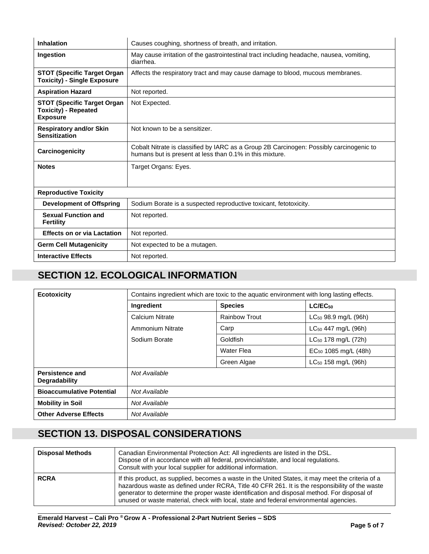| <b>Inhalation</b>                                                                    | Causes coughing, shortness of breath, and irritation.                                                                                               |
|--------------------------------------------------------------------------------------|-----------------------------------------------------------------------------------------------------------------------------------------------------|
| Ingestion                                                                            | May cause irritation of the gastrointestinal tract including headache, nausea, vomiting,<br>diarrhea.                                               |
| <b>STOT (Specific Target Organ</b><br><b>Toxicity) - Single Exposure</b>             | Affects the respiratory tract and may cause damage to blood, mucous membranes.                                                                      |
| <b>Aspiration Hazard</b>                                                             | Not reported.                                                                                                                                       |
| <b>STOT (Specific Target Organ</b><br><b>Toxicity) - Repeated</b><br><b>Exposure</b> | Not Expected.                                                                                                                                       |
| <b>Respiratory and/or Skin</b><br><b>Sensitization</b>                               | Not known to be a sensitizer.                                                                                                                       |
| Carcinogenicity                                                                      | Cobalt Nitrate is classified by IARC as a Group 2B Carcinogen: Possibly carcinogenic to<br>humans but is present at less than 0.1% in this mixture. |
| <b>Notes</b>                                                                         | Target Organs: Eyes.                                                                                                                                |
| <b>Reproductive Toxicity</b>                                                         |                                                                                                                                                     |
| <b>Development of Offspring</b>                                                      | Sodium Borate is a suspected reproductive toxicant, fetotoxicity.                                                                                   |
| <b>Sexual Function and</b><br><b>Fertility</b>                                       | Not reported.                                                                                                                                       |
| <b>Effects on or via Lactation</b>                                                   | Not reported.                                                                                                                                       |
| <b>Germ Cell Mutagenicity</b>                                                        | Not expected to be a mutagen.                                                                                                                       |
| <b>Interactive Effects</b>                                                           | Not reported.                                                                                                                                       |

## **SECTION 12. ECOLOGICAL INFORMATION**

| <b>Ecotoxicity</b>                      | Contains ingredient which are toxic to the aquatic environment with long lasting effects. |                      |                           |
|-----------------------------------------|-------------------------------------------------------------------------------------------|----------------------|---------------------------|
|                                         | Ingredient                                                                                | <b>Species</b>       | $LC/EC_{50}$              |
|                                         | Calcium Nitrate                                                                           | <b>Rainbow Trout</b> | $LC_{50}$ 98.9 mg/L (96h) |
|                                         | Ammonium Nitrate                                                                          | Carp                 | $LC_{50}$ 447 mg/L (96h)  |
|                                         | Sodium Borate                                                                             | Goldfish             | $LC_{50}$ 178 mg/L (72h)  |
|                                         |                                                                                           | Water Flea           | $EC_{50}$ 1085 mg/L (48h) |
|                                         |                                                                                           | Green Algae          | $LC_{50}$ 158 mg/L (96h)  |
| Persistence and<br><b>Degradability</b> | Not Available                                                                             |                      |                           |
| <b>Bioaccumulative Potential</b>        | Not Available                                                                             |                      |                           |
| <b>Mobility in Soil</b>                 | Not Available                                                                             |                      |                           |
| <b>Other Adverse Effects</b>            | Not Available                                                                             |                      |                           |

# **SECTION 13. DISPOSAL CONSIDERATIONS**

| <b>Disposal Methods</b> | Canadian Environmental Protection Act: All ingredients are listed in the DSL.<br>Dispose of in accordance with all federal, provincial/state, and local regulations.<br>Consult with your local supplier for additional information.                                                                                                                                                        |
|-------------------------|---------------------------------------------------------------------------------------------------------------------------------------------------------------------------------------------------------------------------------------------------------------------------------------------------------------------------------------------------------------------------------------------|
| <b>RCRA</b>             | If this product, as supplied, becomes a waste in the United States, it may meet the criteria of a<br>hazardous waste as defined under RCRA, Title 40 CFR 261. It is the responsibility of the waste<br>generator to determine the proper waste identification and disposal method. For disposal of<br>unused or waste material, check with local, state and federal environmental agencies. |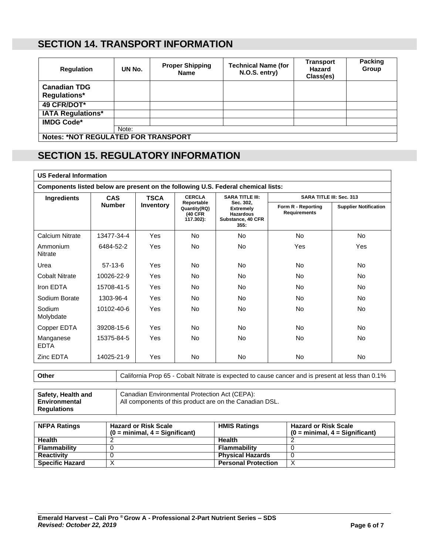#### **SECTION 14. TRANSPORT INFORMATION**

| <b>Requlation</b>                          | UN No.                                     | <b>Proper Shipping</b><br><b>Name</b> | <b>Technical Name (for</b><br>N.O.S. entry) | <b>Transport</b><br>Hazard<br>Class(es) | Packing<br>Group |
|--------------------------------------------|--------------------------------------------|---------------------------------------|---------------------------------------------|-----------------------------------------|------------------|
| <b>Canadian TDG</b><br><b>Regulations*</b> |                                            |                                       |                                             |                                         |                  |
| 49 CFR/DOT*                                |                                            |                                       |                                             |                                         |                  |
| <b>IATA Regulations*</b>                   |                                            |                                       |                                             |                                         |                  |
| <b>IMDG Code*</b>                          |                                            |                                       |                                             |                                         |                  |
|                                            | Note:                                      |                                       |                                             |                                         |                  |
|                                            | <b>Notes: *NOT REGULATED FOR TRANSPORT</b> |                                       |                                             |                                         |                  |

### **SECTION 15. REGULATORY INFORMATION**

| <b>US Federal Information</b>                                                     |               |                  |                                                               |                                                                                                          |                                           |                              |
|-----------------------------------------------------------------------------------|---------------|------------------|---------------------------------------------------------------|----------------------------------------------------------------------------------------------------------|-------------------------------------------|------------------------------|
| Components listed below are present on the following U.S. Federal chemical lists: |               |                  |                                                               |                                                                                                          |                                           |                              |
| Ingredients                                                                       | <b>CAS</b>    | <b>TSCA</b>      | <b>CERCLA</b>                                                 | <b>SARA TITLE III:</b><br>Sec. 302.<br><b>Extremely</b><br><b>Hazardous</b><br>Substance, 40 CFR<br>355. | <b>SARA TITLE III: Sec. 313</b>           |                              |
|                                                                                   | <b>Number</b> | <b>Inventory</b> | Reportable<br>Quantity(RQ)<br><b>(40 CFR)</b><br>$(17.302)$ : |                                                                                                          | Form R - Reporting<br><b>Requirements</b> | <b>Supplier Notification</b> |
| <b>Calcium Nitrate</b>                                                            | 13477-34-4    | Yes              | No.                                                           | No                                                                                                       | <b>No</b>                                 | <b>No</b>                    |
| Ammonium<br>Nitrate                                                               | 6484-52-2     | Yes              | No.                                                           | No                                                                                                       | Yes                                       | Yes                          |
| Urea                                                                              | $57-13-6$     | Yes              | <b>No</b>                                                     | No                                                                                                       | No                                        | <b>No</b>                    |
| Cobalt Nitrate                                                                    | 10026-22-9    | Yes              | <b>No</b>                                                     | <b>No</b>                                                                                                | <b>No</b>                                 | <b>No</b>                    |
| Iron EDTA                                                                         | 15708-41-5    | Yes              | <b>No</b>                                                     | <b>No</b>                                                                                                | No                                        | <b>No</b>                    |
| Sodium Borate                                                                     | 1303-96-4     | Yes              | <b>No</b>                                                     | <b>No</b>                                                                                                | No                                        | <b>No</b>                    |
| Sodium<br>Molybdate                                                               | 10102-40-6    | Yes              | <b>No</b>                                                     | <b>No</b>                                                                                                | No                                        | <b>No</b>                    |
| Copper EDTA                                                                       | 39208-15-6    | Yes              | <b>No</b>                                                     | <b>No</b>                                                                                                | No                                        | <b>No</b>                    |
| Manganese<br><b>EDTA</b>                                                          | 15375-84-5    | Yes              | <b>No</b>                                                     | <b>No</b>                                                                                                | No                                        | <b>No</b>                    |
| Zinc EDTA                                                                         | 14025-21-9    | Yes              | No.                                                           | No.                                                                                                      | <b>No</b>                                 | No.                          |

**Other** California Prop 65 - Cobalt Nitrate is expected to cause cancer and is present at less than 0.1%

| Safety, Health and | Canadian Environmental Protection Act (CEPA):           |
|--------------------|---------------------------------------------------------|
| Environmental      | All components of this product are on the Canadian DSL. |
| <b>Regulations</b> |                                                         |

| <b>NFPA Ratings</b>    | <b>Hazard or Risk Scale</b><br>$(0 = \text{minimal}, 4 = \text{Significant})$ | <b>HMIS Ratings</b>        | <b>Hazard or Risk Scale</b><br>$(0 = \text{minimal}, 4 = \text{Significant})$ |
|------------------------|-------------------------------------------------------------------------------|----------------------------|-------------------------------------------------------------------------------|
| <b>Health</b>          |                                                                               | <b>Health</b>              |                                                                               |
| <b>Flammability</b>    |                                                                               | <b>Flammability</b>        |                                                                               |
| <b>Reactivity</b>      |                                                                               | <b>Physical Hazards</b>    |                                                                               |
| <b>Specific Hazard</b> |                                                                               | <b>Personal Protection</b> |                                                                               |